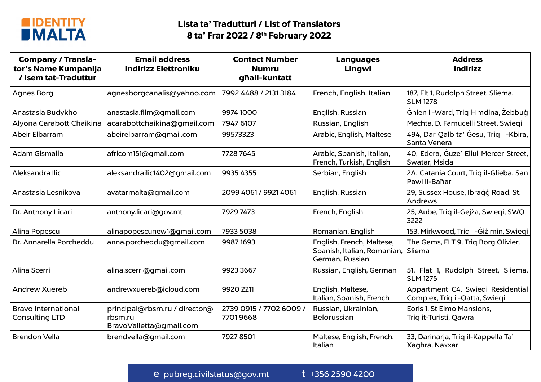

| <b>Company / Transla-</b><br>tor's Name Kumpanija<br>/ Isem tat-Traduttur | <b>Email address</b><br><b>Indirizz Elettroniku</b>                 | <b>Contact Number</b><br><b>Numru</b><br>ghall-kuntatt | <b>Languages</b><br>Lingwi                                                  | <b>Address</b><br><b>Indirizz</b>                                   |  |
|---------------------------------------------------------------------------|---------------------------------------------------------------------|--------------------------------------------------------|-----------------------------------------------------------------------------|---------------------------------------------------------------------|--|
| Agnes Borg                                                                | agnesborgcanalis@yahoo.com                                          | 7992 4488 / 2131 3184                                  | French, English, Italian                                                    | 187, Flt 1, Rudolph Street, Sliema,<br><b>SLM 1278</b>              |  |
| Anastasia Budykho                                                         | anastasia.film@gmail.com                                            | 9974 1000                                              | English, Russian                                                            | Gnien il-Ward, Triq l-Imdina, Żebbuġ                                |  |
| Alyona Carabott Chaikina                                                  | acarabottchaikina@gmail.com                                         | 7947 6107                                              | Russian, English                                                            | Mechta, D. Famucelli Street, Swieqi                                 |  |
| Abeir Elbarram                                                            | abeirelbarram@gmail.com                                             | 99573323                                               | Arabic, English, Maltese                                                    | 494, Dar Qalb ta' Gesu, Triq il-Kbira,<br>Santa Venera              |  |
| Adam Gismalla                                                             | africom151@gmail.com                                                | 7728 7645                                              | Arabic, Spanish, Italian,<br>French, Turkish, English                       | 40, Edera, Guze' Ellul Mercer Street,<br>Swatar, Msida              |  |
| Aleksandra Ilic                                                           | aleksandrailic1402@gmail.com                                        | 9935 4355                                              | Serbian, English                                                            | 2A, Catania Court, Triq il-Glieba, San<br>Pawl il-Bahar             |  |
| Anastasia Lesnikova                                                       | avatarmalta@gmail.com                                               | 2099 4061 / 9921 4061                                  | English, Russian                                                            | 29, Sussex House, Ibragg Road, St.<br>Andrews                       |  |
| Dr. Anthony Licari                                                        | anthony.licari@gov.mt                                               | 7929 7473                                              | French, English                                                             | 25, Aube, Triq il-Gejża, Swieqi, SWQ<br>3222                        |  |
| Alina Popescu                                                             | alinapopescunew1@gmail.com                                          | 7933 5038                                              | Romanian, English                                                           | 153, Mirkwood, Triq il-Gizimin, Swieqi                              |  |
| Dr. Annarella Porcheddu                                                   | anna.porcheddu@gmail.com                                            | 9987 1693                                              | English, French, Maltese,<br>Spanish, Italian, Romanian,<br>German, Russian | The Gems, FLT 9, Triq Borg Olivier,<br>Sliema                       |  |
| Alina Scerri                                                              | alina.scerri@gmail.com                                              | 9923 3667                                              | Russian, English, German                                                    | 51, Flat 1, Rudolph Street, Sliema,<br><b>SLM 1275</b>              |  |
| Andrew Xuereb                                                             | andrewxuereb@icloud.com                                             | 9920 2211                                              | English, Maltese,<br>Italian, Spanish, French                               | Appartment C4, Swieqi Residential<br>Complex, Triq il-Qatta, Swieqi |  |
| Bravo International<br><b>Consulting LTD</b>                              | principal@rbsm.ru / director@<br>rbsm.ru<br>BravoValletta@gmail.com | 2739 0915 / 7702 6009 /<br>77019668                    | Russian, Ukrainian,<br>Belorussian                                          | Eoris 1, St Elmo Mansions,<br>Triq it-Turisti, Qawra                |  |
| <b>Brendon Vella</b>                                                      | brendvella@gmail.com                                                | 7927 8501                                              | Maltese, English, French,<br>Italian                                        | 33, Darinarja, Triq il-Kappella Ta'<br>Xaghra, Naxxar               |  |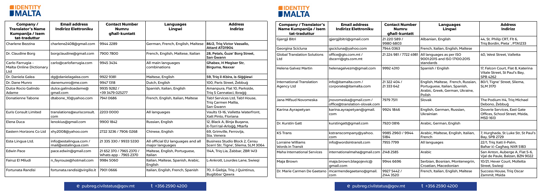



| Company/<br><b>Translator's Name</b><br>Kumpanija / Isem  | <b>Email address</b><br><b>Indirizz Elettroniku</b> | <b>Contact Number</b><br><b>Numru</b><br>għall-kuntatt | <b>Languages</b><br>Lingwi                           | <b>Address</b><br><b>Indirizz</b>                                      | <b>Company / Translator's</b><br>Name Kumpanija / Isem<br>tat-traduttur | <b>Email address</b><br><b>Indirizz Elettroniku</b>     | <b>Contact Number</b><br><b>Numru</b><br>għall-kuntatt | <b>Languages</b><br>Lingwi                                                 | <b>Address</b><br><b>Indirizz</b>                                                |
|-----------------------------------------------------------|-----------------------------------------------------|--------------------------------------------------------|------------------------------------------------------|------------------------------------------------------------------------|-------------------------------------------------------------------------|---------------------------------------------------------|--------------------------------------------------------|----------------------------------------------------------------------------|----------------------------------------------------------------------------------|
| tat-traduttur<br><b>Charlene Bezzina</b>                  | charlene2408@gmail.com                              | 9944 2289                                              | German, French, English, Maltese                     | 86/2, Triq Victor Vassallo,                                            | Gjergji Bitri                                                           | gjergjibitri@gmail.com                                  | 21 220 589 /<br>9980 6803                              | Albanian, English                                                          | 44, St. Philip CRT, Flt 6,<br>Trig Bordin, Pieta`, PTA1233                       |
|                                                           |                                                     |                                                        |                                                      | <b>Attard ATD1904</b>                                                  | Georgina Scicluna                                                       | gscicluna@yahoo.com                                     | 7944 0363                                              | French, Italian, English, Maltese                                          |                                                                                  |
| Dr. Claudine Borg                                         | borgclaudine@gmail.com                              | 7900 7800                                              | French, English, Maltese, Italian                    | 28, Petals, Guze' Borg Street,<br> San Ġwann                           | <b>Global Translation Solutions</b><br>Ltd                              | office@gts.com.mt /<br>dscerri@gts.com.mt               | 21 224 981 / 7722 4981                                 | All languages as per ISO<br>9001:2015 and ISO 17100:2015                   | 40, West Street, Valletta                                                        |
| Carlo Farrugia -<br><b>Malta Online Dictionary</b><br>Ltd | carlo@carlofarrugia.com                             | 9945 3434                                              | All main languages<br>combinations                   | <b>Ghabex, H Megiser Str,</b><br>Birguma, Naxxar                       | <b>Helena Galvez Martin</b>                                             | helenagalvezm@gmail.com                                 | 9992 4310                                              | standards<br>Spanish / English                                             | 17, Falcon Court, Flat 8, Katerina<br>Vitale Street, St Paul's Bay,              |
| Dr. Daniela Galea                                         | dg@danielagalea.com                                 | 9922 9381                                              | Maltese, English                                     | 59, Triq il-Kbira, is-Siggiewi                                         |                                                                         |                                                         |                                                        |                                                                            | SPB 4262                                                                         |
| Dr. Dane Munro                                            | danemunro@me.com                                    | 9947 1318                                              | Dutch, English                                       | 100, Paris Street, Żebbug                                              | <b>International Translation</b>                                        | info@itamalta.com /                                     | 21 322 404 /                                           | English, Maltese, French, Russian                                          | 80/1, Tigne' Street, Sliema,                                                     |
| <b>Dulce Rocio Galindo</b><br>Adame                       | dulce.galindoadame@<br>qmail.com                    | 9935 9282 /<br>+39 3479 025277                         | Spanish, Italian, English                            | Amanpura, Flat 10, Parkside,<br>Triq S Cannataci, Ibragg               | Agency Ltd                                                              | corporate@itamalta.com                                  | 21 333 642                                             | Portuguese, Italian, Spanish,<br>Arabic, Greek, German, Ukraine,<br>Polish | <b>SLM 3170</b>                                                                  |
| <b>Donatienne Tabone</b>                                  | dtabone_10@yahoo.com                                | 79410686                                               | French, English, Italian, Maltese                    | Tab1 Services Ltd, Tab1 House,<br>Triq Carmen Mallia,<br> San Ġwann    | Jana Mifsud Novomeska                                                   | jnovomeska@gmail.com /<br>office@translation-slovak.com | 7979 7511                                              | Slovak                                                                     | The Podium H4, Trig Michael<br>Debono, Żebbug                                    |
| <b>Euris Consult Limited</b>                              | translations@eurisconsult<br>com                    | 2203 0000                                              | All languages                                        | Vaults 13-16, Valletta Waterfront,<br>Xatt Pinto, Floriana             | Karina Ayrapetyan                                                       | karina.ayrapetyan@gmail.<br>com                         | 9924 1846                                              | English, German, Russian,<br>Ukrainian                                     | Doverie Services, East Gate<br>Offices, School Street, Msida,<br><b>MSD 1613</b> |
| Elena Duca                                                | lenokius@gmail.com                                  | 9900 1842                                              | Russian, English                                     | 12, Black A, Binja Buqana,<br>it-Torri tal-Arloģģ, Mtarfa              | Dr. Kurstin Gatt                                                        | kurstingatt@gmail.com                                   | 7920 0816                                              | Arabic, German, English                                                    |                                                                                  |
| Eastern Horizons Co Ltd                                   | xhy2008@yahoo.com                                   | 2722 3236 / 7906 0268                                  | Chinese, English                                     | 69, Grimville, Ferrovija,<br>  Sta. Venera                             | <b>KS Trans</b>                                                         | kstranscompany@yahoo.<br>com                            | 9985 2960 / 9944<br>5184                               | Arabic, Maltese, English, Italian,<br>French                               | 7, Hurghada, St Luke Str, St Paul's<br><b>Bay, SPB 2729</b>                      |
| Esta Lingua Ltd.                                          | info@estalingua.com /<br>mail@estalingua.com        | 21 335 330 / 9933 5330                                 | All official EU languages and all<br>major languages | Business Studio Block 2, Censu<br>Scerri Str, Tigne', Sliema, SLM 3064 | Lorraine Williams<br><b>Words in Transit</b>                            | info@wordsintransit.com                                 | 7955 7799                                              | All languages                                                              | 22/1, Triq Xatt il-Palm,<br>Bahar ic-Caghag. NXR 5183                            |
| <b>Edwin Pace</b>                                         | pace.edwin@gmail.com                                | 21 652 370 / 7965 2370 /<br>Whats app - 7965 2370      | Maltese, English, Portuguese,<br>Italian             | 114A, Trig Lia, Zabbar, ZBR 1413                                       | <b>Maha International Services</b>                                      | nternationalmaha@gmail.com 2148 2585                    |                                                        | Arabic                                                                     | San Anton, Auberge A, Flat 5-6,<br>Vial de Paule, Balzan, BZN 9022               |
| Fairuz El Miludi                                          | n_fayrouze@hotmail.com                              | 9984 5060                                              | Italian, Maltese, Spanish, Arabic,<br>English        | -Ankrott, Lourdes Lane, Swiegi                                         | Maja Brown                                                              | maja.brown.blagojevic@<br>qmail.com                     | 9944 6696                                              | Serbian, Bosnian, Montenegrin,<br>Croatian, Macedonian                     | 10/21, Hever Court, Molletta<br>Street, Swiegi                                   |
| Fortunata Randisi                                         | fortunata.randisi@virgilio.it                       | 79010666                                               | Italian, English, French, Spanish                    | 70, il-Giebja, Triq J Quintinus,<br>Bugibba/ Qawra                     | Dr. Marie Carmen De Gaetano                                             | mcarmendegaetano@gmail<br>com                           | 9927 5442 /<br>2144 3520                               | French, Italian, English, Maltese                                          | Success House, Triq Oscar<br>Zammit, Msida                                       |



e pubreg.civilstatus@gov.mt t +356 2590 4200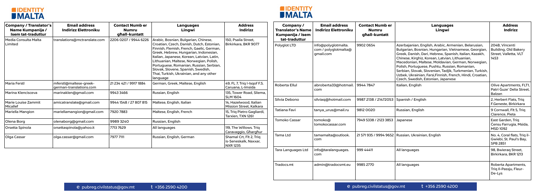



| <b>Company / Translator's</b><br>Name Kumpanija /<br><b>Isem tat-traduttur</b> | <b>Email address</b><br><b>Indirizz Elettroniku</b> | <b>Contact Numb er</b><br><b>Numru</b><br>ghall-kuntatt | <b>Languages</b><br>Lingwi                                                                                                                                                                                                                                                                                                                                                                               | <b>Address</b><br><b>Indirizz</b>                                   | <b>Company/</b><br><b>Translator's Name</b><br>Kumpanija / Isem | <b>Email address</b><br>Indirizz Elettroniku             | <b>Contact Numb er</b><br><b>Numru</b><br>ghall-kuntatt | <b>Languages</b><br>Lingwi                                                                                                                                                                                                                                                                                                                                                                                                                                                                      | <b>Address</b><br><b>Indirizz</b>                                              |
|--------------------------------------------------------------------------------|-----------------------------------------------------|---------------------------------------------------------|----------------------------------------------------------------------------------------------------------------------------------------------------------------------------------------------------------------------------------------------------------------------------------------------------------------------------------------------------------------------------------------------------------|---------------------------------------------------------------------|-----------------------------------------------------------------|----------------------------------------------------------|---------------------------------------------------------|-------------------------------------------------------------------------------------------------------------------------------------------------------------------------------------------------------------------------------------------------------------------------------------------------------------------------------------------------------------------------------------------------------------------------------------------------------------------------------------------------|--------------------------------------------------------------------------------|
| Media Consulta Malta<br>Limited                                                | translations@mctranslate.com                        | 2206 0207 / 9944 6226                                   | Arabic, Bosnian, Bulgarian, Chinese,<br>Croatian, Czech, Danish, Dutch, Estonian,<br>Finnish, Flemish, French, Gaelic, German,<br>Greek, Hebrew, Hungarian, Indonesian,<br>Italian, Japanese, Korean, Latvian, Latin,<br>Lithuanian, Maltese, Norwegian, Polish,<br>Portuguese, Romanian, Russian, Serbian,<br>Slovak, Slovene, Spanish, Swedish,<br>Thai, Turkish, Ukrainian, and any other<br>language | 150, Psaila Street,<br>Birkirkara, BKR 9077                         | tat-traduttur<br>Polyglot LTD                                   | info@polyglotmalta.<br>com / polyglotmalta@<br>gmail.com | 99020654                                                | Azerbajanian, English, Arabic, Armenian, Belarusian,<br>Bulgarian, Bosnian, Hungarian, Vietnamese, Georgian<br>Greek, Danish, Dari, Hebrew, Spanish, Italian, Kazakh,<br>Chinese, Kirghiz, Korean, Latvian, Lithuanian,<br>Macedonian, Maltese, Moldavian, German, Norwegian,<br>Polish, Portuguese, Pushtu, Russian, Romanian,<br>Serbian, Slovak, Slovenian, Tadjik, Turkmenian, Turkish,<br>Uzbek, Ukrainian, Farsi, Finnish, French, Hindi, Croatian,<br>Czech, Swedish, Estonian, Japanese | 204B, Vincenti<br><b>Building, Old Bakery</b><br>Street, Valletta, VLT<br>1453 |
| Maria Ferstl                                                                   | mferstl@maltese-greek-<br>german-translations.com   | 21 234 421 / 9917 1884                                  | German, Greek, Maltese, English                                                                                                                                                                                                                                                                                                                                                                          | 49, FL 7, Triq I-Isqof F.S.<br>Caruana, L-Imsida                    | Roberta Ellul                                                   | abroberta33@hotmail. 9944 7847<br>com                    |                                                         | Italian, English                                                                                                                                                                                                                                                                                                                                                                                                                                                                                | Olive Apartments, FLT1,<br>Patri Guze' Delia Street,                           |
| Marina Klencisceva                                                             | marinaklen@gmail.com                                | 99433466                                                | Russian, English                                                                                                                                                                                                                                                                                                                                                                                         | 135, Tower Road, Sliema,<br><b>SLM 1604</b>                         |                                                                 |                                                          |                                                         |                                                                                                                                                                                                                                                                                                                                                                                                                                                                                                 | Balzan                                                                         |
| Marie Louise Zammit<br>Micallef                                                | amicatranslate@gmail.com                            | 9944 1548 / 27 807 815                                  | Maltese, English, Italian                                                                                                                                                                                                                                                                                                                                                                                | 14, Hazelwood, Italian<br>Mission Street, Kalkara                   | Silvia Debono                                                   | silviaq@hotmail.com                                      | 9987 2138 / 21472053 Spanish / English                  |                                                                                                                                                                                                                                                                                                                                                                                                                                                                                                 | 2, Herbert Flats, Triq<br>F.Geneste, Birkirkara                                |
| Mariella Mangion                                                               | mariellamangion@gmail.com                           | 7920 7883                                               | Maltese, English, French                                                                                                                                                                                                                                                                                                                                                                                 | 15, Triq Pietro Gagliardi,<br>Tarxien, TXN 1261                     | Tatiana Favi                                                    | tanya_urus@mail.ru                                       | 9812 0020                                               | Russian, English                                                                                                                                                                                                                                                                                                                                                                                                                                                                                | 9 Cornwall, Flt 5, Triq<br>Clarence, Pieta                                     |
| Olena Borg                                                                     | olenaborg@gmail.com                                 | 9989 3240                                               | Russian, English                                                                                                                                                                                                                                                                                                                                                                                         |                                                                     | <b>Tomoko Cassar</b>                                            | tomoko@                                                  | 7949 5338 / 2123 3853 Japanese                          |                                                                                                                                                                                                                                                                                                                                                                                                                                                                                                 | East Garden, Triq                                                              |
| Orsetta Spinola                                                                | orsettaspinola@yahoo.it                             | 7713 7629                                               | All languages                                                                                                                                                                                                                                                                                                                                                                                            | 119, The Willows. Trig<br>Caravaggio, Gharghur                      |                                                                 | tomokocassar.com                                         |                                                         |                                                                                                                                                                                                                                                                                                                                                                                                                                                                                                 | Censu Farrugia, Msida,<br><b>MSD 1092</b>                                      |
| Olga Cassar                                                                    | olga.cassar@gmail.com                               | 7977 7111                                               | Russian, English, German                                                                                                                                                                                                                                                                                                                                                                                 | Shamal Crt, Flt 2, Triq<br>is-Seneskalk, Naxxar,<br><b>NXR 1235</b> | <b>Tama Ltd</b>                                                 | tamamalta@outlook.<br>com                                |                                                         | 21 571 935 / 9994 9652   Russian, Ukrainian, English                                                                                                                                                                                                                                                                                                                                                                                                                                            | No. 4, Coral flats, Triq il-<br>Gwiebi, St. Paul's Bay,<br><b>SPB 2851</b>     |
|                                                                                |                                                     |                                                         |                                                                                                                                                                                                                                                                                                                                                                                                          |                                                                     | <b>Tara Languages Ltd</b>                                       | info@taralanguages.<br>com                               | 999 44411                                               | All languages                                                                                                                                                                                                                                                                                                                                                                                                                                                                                   | 98, Bwierag Street,<br>Birkirkara, BKR 1213                                    |
|                                                                                |                                                     |                                                         |                                                                                                                                                                                                                                                                                                                                                                                                          |                                                                     | Tradocs.mt                                                      | admin@tradocsmt.eu                                       | 9985 2770                                               | All languages                                                                                                                                                                                                                                                                                                                                                                                                                                                                                   | Roberta Apartments,<br>Triq Il-Passju, Fleur-<br>De-Lys                        |

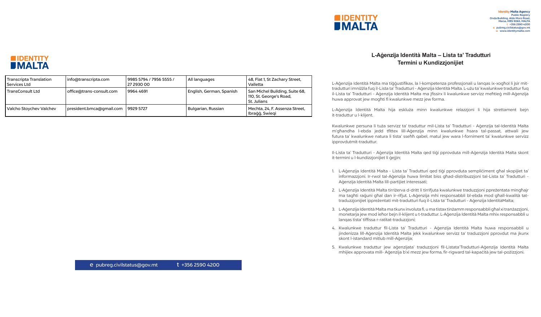## **L-Aġenzija Identità Malta – Lista ta' Tradutturi Termini u Kundizzjonijiet**

L-Aġenzija Identità Malta hija eskluża minn kwalunkwe relazzjoni li hija strettament bejn t-traduttur u l-klijent.

L-Aġenzija Identità Malta ma tiġġustifikax, la l-kompetenza professjonali u lanqas ix-xogħol li jsir mittradutturi imniżżla fuq il-Lista ta' Tradutturi - Aġenzija Identità Malta. L-użu ta' kwalunkwe traduttur fuq il-Lista ta' Tradutturi - Aġenzija Identità Malta ma jfissirx li kwalunkwe servizz meħtieġ mill-Aġenzija huwa approvat jew mogħti fi kwalunkwe mezz jew forma.

Kwalunkwe persuna li tuża servizz ta' traduttur mil-Lista ta' Tradutturi - Aġenzija tal-Identità Malta m'għandha l-ebda jedd tfittex lill-Aġenzija minn kwalunkwe ħsara tal-passat, attwali jew futura ta' kwalunkwe natura li tista' sseħħ qabel, matul jew wara l-forniment ta' kwalunkwe servizz ipprovdutmit-traduttur.

4. Kwalunkwe traduttur fil-Lista ta' Tradutturi - Aġenzija Identità Malta huwa responsabbli u jindenizza lill-Aġenzija Identità Malta jekk kwalunkwe servizz ta' traduzzjoni pprovdut ma jkunx skont l-istandard mitlub mill-Aġenzija;

Il-Lista ta' Tradutturi - Aġenzija Identità Malta qed tiġi pprovduta mill-Aġenzija Identità Malta skont it-termini u l-kundizzjonijiet li ġejjin;

1. L-Aġenzija Identità Malta - Lista ta' Tradutturi qed tiġi pprovduta sempliċiment għal skopijiet ta' informazzjoni. Ir-rwol tal-Aġenzija huwa limitat biss għad-distribuzzjoni tal-Lista ta' Tradutturi - Aġenzija Identità Malta lill-partijiet interessati;

2. L-Aġenzija Identità Malta tirriżerva d-dritt li tirrifjuta kwalunkwe traduzzjoni ppreżentata mingħajr ma tagħti raġuni għal dan ir-rifjut. L-Aġenzija mhi responsabbli bl-ebda mod għall-kwalità tattraduzzjonijiet ippreżentati mit-tradutturi fuq il-Lista ta' Tradutturi - Aġenzija IdentitàMalta;

3. L-Aġenzija Identità Malta ma tkunx involuta fi, u ma tistax tinżamm responsabbli għal xi tranżazzjoni, monetarja jew mod ieħor bejn il-klijent u t-traduttur. L-Aġenzija Identità Malta mhix responsabbli u lanqas tista' tiffissa r-ratitat-traduzzjoni;

5. Kwalunkwe traduttur jew aġenzijata' traduzzjoni fil-Listata'Tradutturi-Aġenzija Identità Malta mhijiex approvata mill- Aġenzija b'xi mezz jew forma, fir-rigward tal-kapaċità jew tal-pożizzjoni.



| Transcripta Translation<br>Services Ltd | info@transcripta.com     | 9985 5794 / 7956 5555 /<br>27 2930 00 | All languages            | 48, Flat 1, St Zachary Street,<br>Valletta                                 |  |
|-----------------------------------------|--------------------------|---------------------------------------|--------------------------|----------------------------------------------------------------------------|--|
| <b>TransConsult Ltd</b>                 | office@trans-consult.com | 99644691                              | English, German, Spanish | San Michel Building, Suite 68,<br>  110, St. George's Road,<br>St. Julians |  |
| Valcho Stoychev Valchev                 | president.bmca@gmail.com | 9929 5727                             | Bulgarian, Russian       | Mechta, 24, F. Assenza Street,<br>Ibraģģ, Swieqi                           |  |

e pubreg.civilstatus@gov.mt t +356 2590 4200